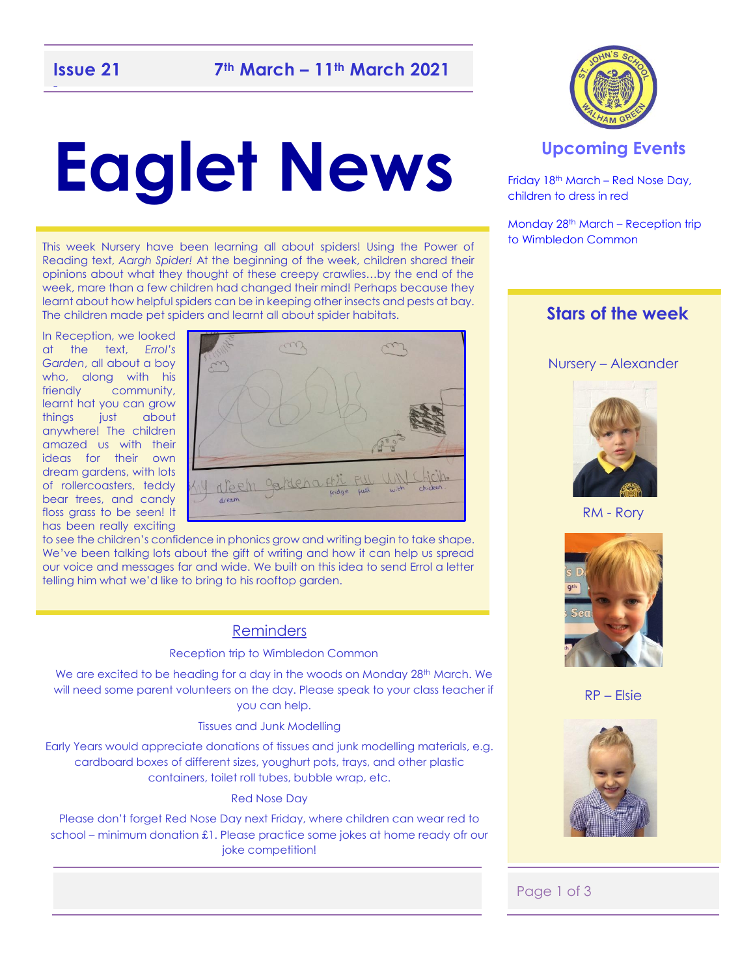# **Eaglet News**

This week Nursery have been learning all about spiders! Using the Power of Reading text, *Aargh Spider!* At the beginning of the week, children shared their opinions about what they thought of these creepy crawlies…by the end of the week, mare than a few children had changed their mind! Perhaps because they learnt about how helpful spiders can be in keeping other insects and pests at bay. The children made pet spiders and learnt all about spider habitats.

In Reception, we looked at the text, *Errol's Garden*, all about a boy who, along with his friendly community, learnt hat you can grow things just about anywhere! The children amazed us with their ideas for their own dream gardens, with lots of rollercoasters, teddy bear trees, and candy floss grass to be seen! It has been really exciting



to see the children's confidence in phonics grow and writing begin to take shape. We've been talking lots about the gift of writing and how it can help us spread our voice and messages far and wide. We built on this idea to send Errol a letter telling him what we'd like to bring to his rooftop garden.

### Reminders

### Reception trip to Wimbledon Common

We are excited to be heading for a day in the woods on Monday 28th March. We will need some parent volunteers on the day. Please speak to your class teacher if you can help.

### Tissues and Junk Modelling

Early Years would appreciate donations of tissues and junk modelling materials, e.g. cardboard boxes of different sizes, youghurt pots, trays, and other plastic containers, toilet roll tubes, bubble wrap, etc.

#### Red Nose Day

Please don't forget Red Nose Day next Friday, where children can wear red to school – minimum donation £1. Please practice some jokes at home ready ofr our joke competition!



### **Upcoming Events**

Friday 18th March – Red Nose Day, children to dress in red

Monday 28<sup>th</sup> March – Reception trip to Wimbledon Common

### **Stars of the week**

### Nursery – Alexander



RM - Rory



RP – Elsie



### Page 1 of 3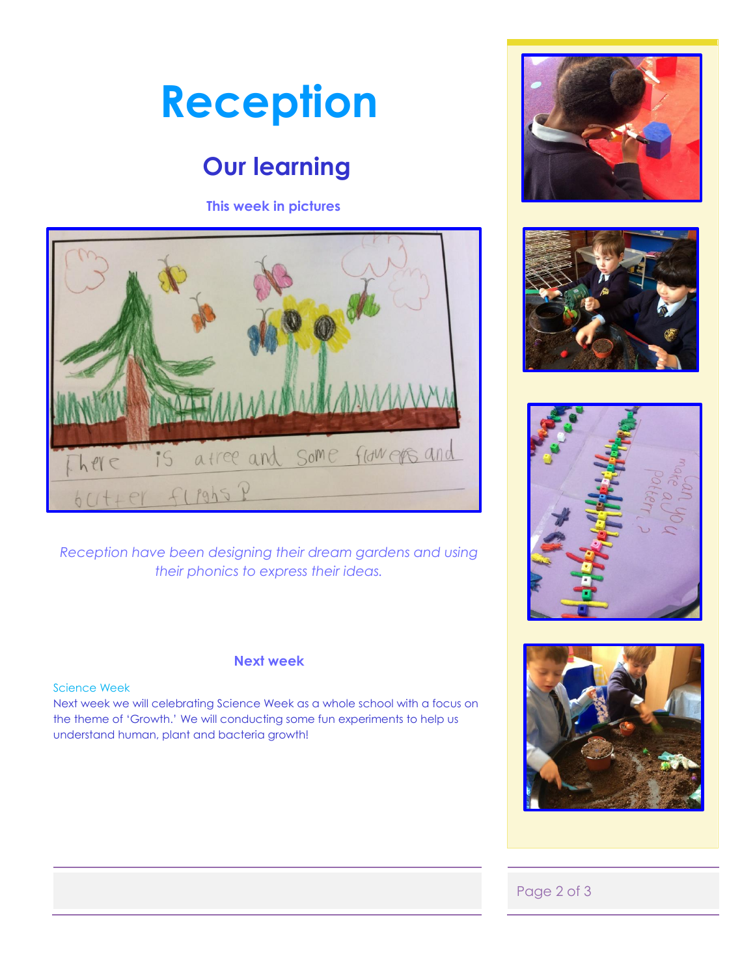

### **Our learning**

### **This week in pictures**



*Reception have been designing their dream gardens and using their phonics to express their ideas.* 

### **Next week**

### Science Week

Next week we will celebrating Science Week as a whole school with a focus on the theme of 'Growth.' We will conducting some fun experiments to help us understand human, plant and bacteria growth!









### Page 2 of 3